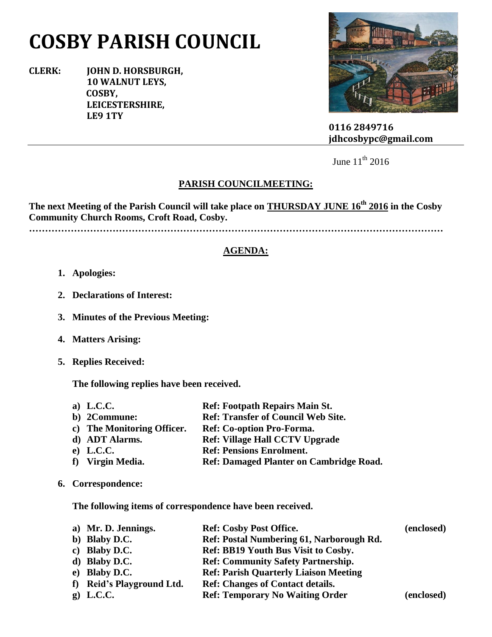# **COSBY PARISH COUNCIL**

**CLERK: JOHN D. HORSBURGH, 10 WALNUT LEYS, COSBY, LEICESTERSHIRE, LE9 1TY**



 **0116 2849716 jdhcosbypc@gmail.com**

June  $11^{th}$  2016

### **PARISH COUNCILMEETING:**

**The next Meeting of the Parish Council will take place on THURSDAY JUNE 16th 2016 in the Cosby Community Church Rooms, Croft Road, Cosby.**

**…………………………………………………………………………………………………………………**

#### **AGENDA:**

- **1. Apologies:**
- **2. Declarations of Interest:**
- **3. Minutes of the Previous Meeting:**
- **4. Matters Arising:**
- **5. Replies Received:**

**The following replies have been received.**

| a) L.C.C.                  | <b>Ref: Footpath Repairs Main St.</b>          |
|----------------------------|------------------------------------------------|
| b) 2Commune:               | <b>Ref: Transfer of Council Web Site.</b>      |
| c) The Monitoring Officer. | Ref: Co-option Pro-Forma.                      |
| d) ADT Alarms.             | <b>Ref: Village Hall CCTV Upgrade</b>          |
| $e)$ L.C.C.                | <b>Ref: Pensions Enrolment.</b>                |
| f) Virgin Media.           | <b>Ref: Damaged Planter on Cambridge Road.</b> |

**6. Correspondence:**

**The following items of correspondence have been received.**

| a) Mr. D. Jennings.       | <b>Ref: Cosby Post Office.</b>               | (enclosed) |
|---------------------------|----------------------------------------------|------------|
| b) Blaby D.C.             | Ref: Postal Numbering 61, Narborough Rd.     |            |
| c) Blaby D.C.             | Ref: BB19 Youth Bus Visit to Cosby.          |            |
| d) Blaby D.C.             | <b>Ref: Community Safety Partnership.</b>    |            |
| e) Blaby D.C.             | <b>Ref: Parish Quarterly Liaison Meeting</b> |            |
| f) Reid's Playground Ltd. | <b>Ref: Changes of Contact details.</b>      |            |
| $g$ ) L.C.C.              | <b>Ref: Temporary No Waiting Order</b>       | (enclosed) |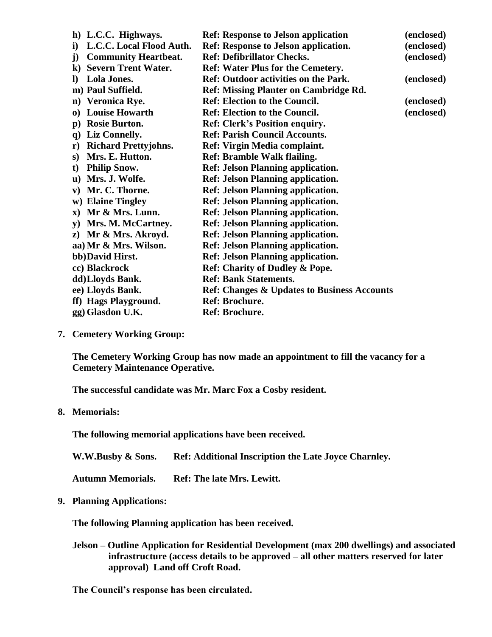| h) L.C.C. Highways.                          | <b>Ref: Response to Jelson application</b>             | (enclosed) |
|----------------------------------------------|--------------------------------------------------------|------------|
| L.C.C. Local Flood Auth.<br>i)               | <b>Ref: Response to Jelson application.</b>            | (enclosed) |
| <b>Community Heartbeat.</b><br>j)            | <b>Ref: Defibrillator Checks.</b>                      | (enclosed) |
| <b>Severn Trent Water.</b><br>$\bf k)$       | <b>Ref: Water Plus for the Cemetery.</b>               |            |
| <b>Lola Jones.</b><br>$\bf{D}$               | <b>Ref: Outdoor activities on the Park.</b>            | (enclosed) |
| m) Paul Suffield.                            | <b>Ref: Missing Planter on Cambridge Rd.</b>           |            |
| n) Veronica Rye.                             | <b>Ref: Election to the Council.</b>                   | (enclosed) |
| <b>Louise Howarth</b><br>$\bf{0}$            | <b>Ref: Election to the Council.</b>                   | (enclosed) |
| <b>Rosie Burton.</b><br>$\bf{p}$ )           | <b>Ref: Clerk's Position enquiry.</b>                  |            |
| Liz Connelly.<br>$\mathbf{q}$                | <b>Ref: Parish Council Accounts.</b>                   |            |
| <b>Richard Prettyjohns.</b><br>$\mathbf{r})$ | Ref: Virgin Media complaint.                           |            |
| Mrs. E. Hutton.<br>S)                        | <b>Ref: Bramble Walk flailing.</b>                     |            |
| <b>Philip Snow.</b><br>t)                    | <b>Ref: Jelson Planning application.</b>               |            |
| Mrs. J. Wolfe.<br>u)                         | <b>Ref: Jelson Planning application.</b>               |            |
| Mr. C. Thorne.<br>V)                         | <b>Ref: Jelson Planning application.</b>               |            |
| w) Elaine Tingley                            | <b>Ref: Jelson Planning application.</b>               |            |
| $x)$ Mr & Mrs. Lunn.                         | <b>Ref: Jelson Planning application.</b>               |            |
| Mrs. M. McCartney.<br>${\bf v})$             | <b>Ref: Jelson Planning application.</b>               |            |
| z) Mr & Mrs. Akroyd.                         | <b>Ref: Jelson Planning application.</b>               |            |
| aa) Mr & Mrs. Wilson.                        | <b>Ref: Jelson Planning application.</b>               |            |
| bb)David Hirst.                              | <b>Ref: Jelson Planning application.</b>               |            |
| cc) Blackrock                                | <b>Ref: Charity of Dudley &amp; Pope.</b>              |            |
| dd)Lloyds Bank.                              | <b>Ref: Bank Statements.</b>                           |            |
| ee) Lloyds Bank.                             | <b>Ref: Changes &amp; Updates to Business Accounts</b> |            |
| ff) Hags Playground.                         | Ref: Brochure.                                         |            |
| gg) Glasdon U.K.                             | Ref: Brochure.                                         |            |
|                                              |                                                        |            |

**7. Cemetery Working Group:**

**The Cemetery Working Group has now made an appointment to fill the vacancy for a Cemetery Maintenance Operative.**

**The successful candidate was Mr. Marc Fox a Cosby resident.**

#### **8. Memorials:**

**The following memorial applications have been received.**

**W.W.Busby & Sons. Ref: Additional Inscription the Late Joyce Charnley.**

**Autumn Memorials. Ref: The late Mrs. Lewitt.**

**9. Planning Applications:**

**The following Planning application has been received.**

**Jelson – Outline Application for Residential Development (max 200 dwellings) and associated infrastructure (access details to be approved – all other matters reserved for later approval) Land off Croft Road.**

**The Council's response has been circulated.**